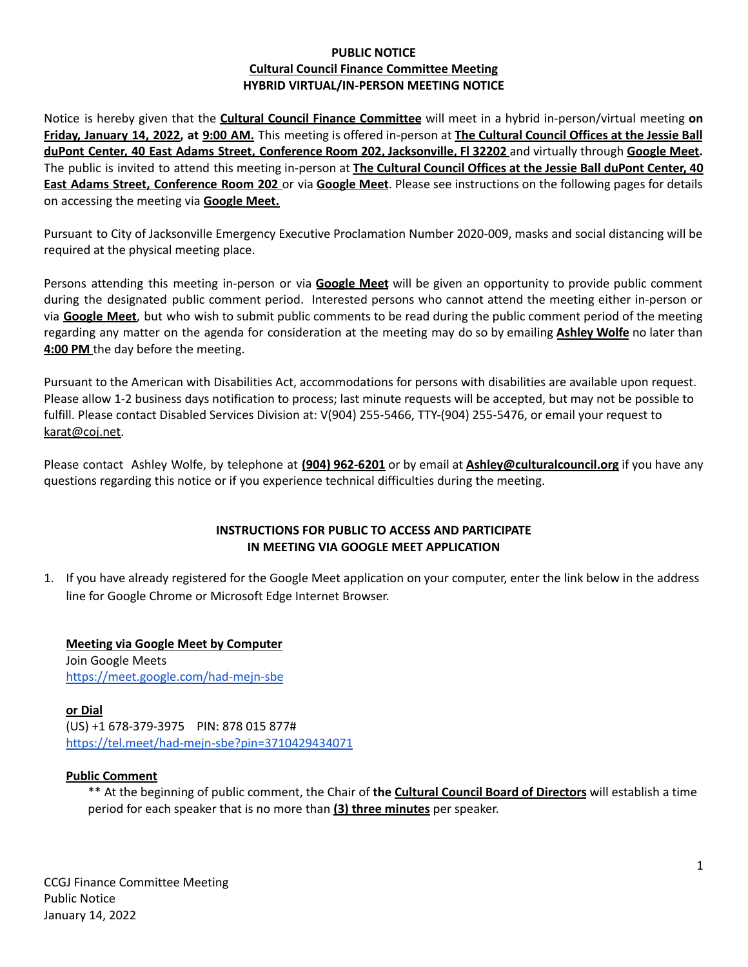### **PUBLIC NOTICE Cultural Council Finance Committee Meeting HYBRID VIRTUAL/IN-PERSON MEETING NOTICE**

Notice is hereby given that the **Cultural Council Finance Committee** will meet in a hybrid in-person/virtual meeting **on** Friday, January 14, 2022, at 9:00 AM. This meeting is offered in-person at The Cultural Council Offices at the Jessie Ball **duPont Center, 40 East Adams Street, Conference Room 202, Jacksonville, Fl 32202** and virtually through **Google Meet.** The public is invited to attend this meeting in-person at **The Cultural Council Offices at the Jessie Ball duPont Center, 40 East Adams Street, Conference Room 202** or via **Google Meet**. Please see instructions on the following pages for details on accessing the meeting via **Google Meet.**

Pursuant to City of Jacksonville Emergency Executive Proclamation Number 2020-009, masks and social distancing will be required at the physical meeting place.

Persons attending this meeting in-person or via **Google Meet** will be given an opportunity to provide public comment during the designated public comment period. Interested persons who cannot attend the meeting either in-person or via **Google Meet**, but who wish to submit public comments to be read during the public comment period of the meeting regarding any matter on the agenda for consideration at the meeting may do so by emailing **Ashley Wolfe** no later than **4:00 PM** the day before the meeting.

Pursuant to the American with Disabilities Act, accommodations for persons with disabilities are available upon request. Please allow 1-2 business days notification to process; last minute requests will be accepted, but may not be possible to fulfill. Please contact Disabled Services Division at: V(904) 255-5466, TTY-(904) 255-5476, or email your request to [karat@coj.net.](mailto:karat@coj.net)

Please contact Ashley Wolfe, by telephone at **(904) 962-6201** or by email at **Ashley@culturalcouncil.org** if you have any questions regarding this notice or if you experience technical difficulties during the meeting.

### **INSTRUCTIONS FOR PUBLIC TO ACCESS AND PARTICIPATE IN MEETING VIA GOOGLE MEET APPLICATION**

1. If you have already registered for the Google Meet application on your computer, enter the link below in the address line for Google Chrome or Microsoft Edge Internet Browser.

**Meeting via Google Meet by Computer** Join Google Meets <https://meet.google.com/had-mejn-sbe>

**or Dial** (US) +1 678-379-3975 PIN: 878 015 877# <https://tel.meet/had-mejn-sbe?pin=3710429434071>

## **Public Comment**

\*\* At the beginning of public comment, the Chair of **the Cultural Council Board of Directors** will establish a time period for each speaker that is no more than **(3) three minutes** per speaker.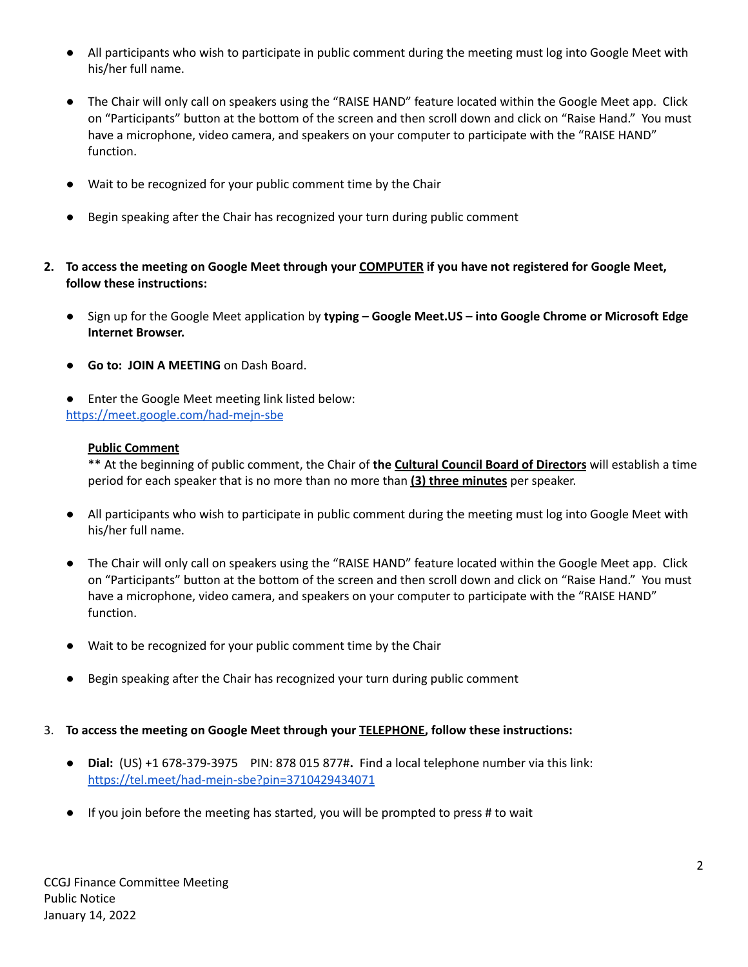- All participants who wish to participate in public comment during the meeting must log into Google Meet with his/her full name.
- The Chair will only call on speakers using the "RAISE HAND" feature located within the Google Meet app. Click on "Participants" button at the bottom of the screen and then scroll down and click on "Raise Hand." You must have a microphone, video camera, and speakers on your computer to participate with the "RAISE HAND" function.
- Wait to be recognized for your public comment time by the Chair
- Begin speaking after the Chair has recognized your turn during public comment
- 2. To access the meeting on Google Meet through your COMPUTER if you have not registered for Google Meet, **follow these instructions:**
	- **●** Sign up for the Google Meet application by **typing – Google Meet.US – into Google Chrome or Microsoft Edge Internet Browser.**
	- **Go to: JOIN A MEETING** on Dash Board.
	- **●** Enter the Google Meet meeting link listed below: <https://meet.google.com/had-mejn-sbe>

### **Public Comment**

\*\* At the beginning of public comment, the Chair of **the Cultural Council Board of Directors** will establish a time period for each speaker that is no more than no more than **(3) three minutes** per speaker.

- All participants who wish to participate in public comment during the meeting must log into Google Meet with his/her full name.
- The Chair will only call on speakers using the "RAISE HAND" feature located within the Google Meet app. Click on "Participants" button at the bottom of the screen and then scroll down and click on "Raise Hand." You must have a microphone, video camera, and speakers on your computer to participate with the "RAISE HAND" function.
- Wait to be recognized for your public comment time by the Chair
- Begin speaking after the Chair has recognized your turn during public comment
- 3. **To access the meeting on Google Meet through your TELEPHONE, follow these instructions:**
	- **Dial:** (US) +1 678-379-3975 PIN: 878 015 877#**.** Find a local telephone number via this link: <https://tel.meet/had-mejn-sbe?pin=3710429434071>
	- If you join before the meeting has started, you will be prompted to press # to wait